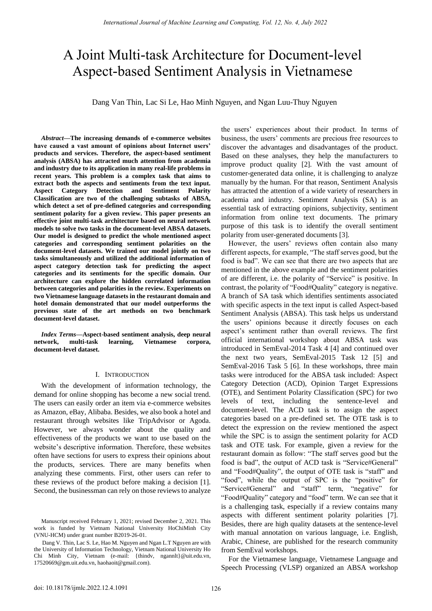# A Joint Multi-task Architecture for Document-level Aspect-based Sentiment Analysis in Vietnamese

Dang Van Thin, Lac Si Le, Hao Minh Nguyen, and Ngan Luu-Thuy Nguyen

*Abstract***—The increasing demands of e-commerce websites have caused a vast amount of opinions about Internet users' products and services. Therefore, the aspect-based sentiment analysis (ABSA) has attracted much attention from academia and industry due to its application in many real-life problems in recent years. This problem is a complex task that aims to extract both the aspects and sentiments from the text input. Aspect Category Detection and Sentiment Polarity Classification are two of the challenging subtasks of ABSA, which detect a set of pre-defined categories and corresponding sentiment polarity for a given review. This paper presents an effective joint multi-task architecture based on neural network models to solve two tasks in the document-level ABSA datasets. Our model is designed to predict the whole mentioned aspect categories and corresponding sentiment polarities on the document-level datasets. We trained our model jointly on two tasks simultaneously and utilized the additional information of aspect category detection task for predicting the aspect categories and its sentiments for the specific domain. Our architecture can explore the hidden correlated information between categories and polarities in the review. Experiments on two Vietnamese language datasets in the restaurant domain and hotel domain demonstrated that our model outperforms the previous state of the art methods on two benchmark document-level dataset.**

*Index Terms***—Aspect-based sentiment analysis, deep neural network, multi-task learning, Vietnamese corpora, document-level dataset.** 

#### I. INTRODUCTION

With the development of information technology, the demand for online shopping has become a new social trend. The users can easily order an item via e-commerce websites as Amazon, eBay, Alibaba. Besides, we also book a hotel and restaurant through websites like TripAdvisor or Agoda. However, we always wonder about the quality and effectiveness of the products we want to use based on the website's descriptive information. Therefore, these websites often have sections for users to express their opinions about the products, services. There are many benefits when analyzing these comments. First, other users can refer to these reviews of the product before making a decision [1]. Second, the businessman can rely on those reviews to analyze

the users' experiences about their product. In terms of business, the users' comments are precious free resources to discover the advantages and disadvantages of the product. Based on these analyses, they help the manufacturers to improve product quality [2]. With the vast amount of customer-generated data online, it is challenging to analyze manually by the human. For that reason, Sentiment Analysis has attracted the attention of a wide variety of researchers in academia and industry. Sentiment Analysis (SA) is an essential task of extracting opinions, subjectivity, sentiment information from online text documents. The primary purpose of this task is to identify the overall sentiment polarity from user-generated documents [3].

However, the users' reviews often contain also many different aspects, for example, "The staff serves good, but the food is bad". We can see that there are two aspects that are mentioned in the above example and the sentiment polarities of are different, i.e. the polarity of "Service" is positive. In contrast, the polarity of "Food#Quality" category is negative. A branch of SA task which identifies sentiments associated with specific aspects in the text input is called Aspect-based Sentiment Analysis (ABSA). This task helps us understand the users' opinions because it directly focuses on each aspect's sentiment rather than overall reviews. The first official international workshop about ABSA task was introduced in SemEval-2014 Task 4 [4] and continued over the next two years, SemEval-2015 Task 12 [5] and SemEval-2016 Task 5 [6]. In these workshops, three main tasks were introduced for the ABSA task included: Aspect Category Detection (ACD), Opinion Target Expressions (OTE), and Sentiment Polarity Classification (SPC) for two levels of text, including the sentence-level and document-level. The ACD task is to assign the aspect categories based on a pre-defined set. The OTE task is to detect the expression on the review mentioned the aspect while the SPC is to assign the sentiment polarity for ACD task and OTE task. For example, given a review for the restaurant domain as follow: "The staff serves good but the food is bad", the output of ACD task is "Service#General" and "Food#Quality", the output of OTE task is "staff" and "food", while the output of SPC is the "positive" for "Service#General" and "staff" term, "negative" for "Food#Quality" category and "food" term. We can see that it is a challenging task, especially if a review contains many aspects with different sentiment polarity polarities [7]. Besides, there are high quality datasets at the sentence-level with manual annotation on various language, i.e. English, Arabic, Chinese, are published for the research community from SemEval workshops.

For the Vietnamese language, Vietnamese Language and Speech Processing (VLSP) organized an ABSA workshop

Manuscript received February 1, 2021; revised December 2, 2021. This work is funded by Vietnam National University HoChiMinh City (VNU-HCM) under grant number B2019-26-01.

Dang V. Thin, Lac S. Le, Hao M. Nguyen and Ngan L.T Nguyen are with the University of Information Technology, Vietnam National University Ho Chi Minh City, Vietnam (e-mail: {thindv, ngannlt}@uit.edu.vn, 17520669@gm.uit.edu.vn, haohaoit@gmail.com).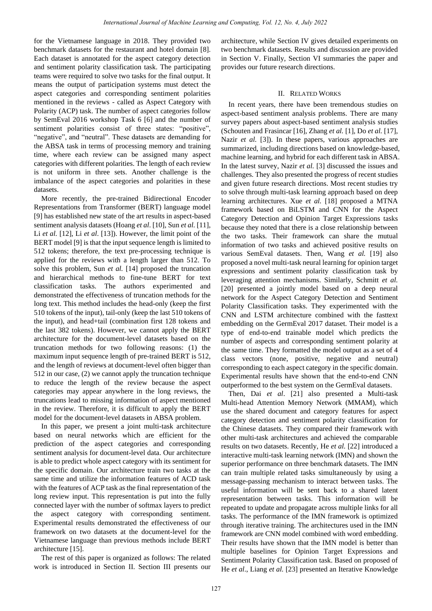for the Vietnamese language in 2018. They provided two benchmark datasets for the restaurant and hotel domain [8]. Each dataset is annotated for the aspect category detection and sentiment polarity classification task. The participating teams were required to solve two tasks for the final output. It means the output of participation systems must detect the aspect categories and corresponding sentiment polarities mentioned in the reviews - called as Aspect Category with Polarity (ACP) task. The number of aspect categories follow by SemEval 2016 workshop Task 6 [6] and the number of sentiment polarities consist of three states: "positive", "negative", and "neutral". These datasets are demanding for the ABSA task in terms of processing memory and training time, where each review can be assigned many aspect categories with different polarities. The length of each review is not uniform in three sets. Another challenge is the imbalance of the aspect categories and polarities in these datasets.

More recently, the pre-trained Bidirectional Encoder Representations from Transformer (BERT) language model [9] has established new state of the art results in aspect-based sentiment analysis datasets (Hoang *et al*. [10], Sun *et al.* [11], Li *et al.* [12], Li *et al*. [13]). However, the limit point of the BERT model [9] is that the input sequence length is limited to 512 tokens; therefore, the text pre-processing technique is applied for the reviews with a length larger than 512. To solve this problem, Sun *et al.* [14] proposed the truncation and hierarchical methods to fine-tune BERT for text classification tasks. The authors experimented and demonstrated the effectiveness of truncation methods for the long text. This method includes the head-only (keep the first 510 tokens of the input), tail-only (keep the last 510 tokens of the input), and head+tail (combination first 128 tokens and the last 382 tokens). However, we cannot apply the BERT architecture for the document-level datasets based on the truncation methods for two following reasons: (1) the maximum input sequence length of pre-trained BERT is 512. and the length of reviews at document-level often bigger than 512 in our case, (2) we cannot apply the truncation technique to reduce the length of the review because the aspect categories may appear anywhere in the long reviews, the truncations lead to missing information of aspect mentioned in the review. Therefore, it is difficult to apply the BERT model for the document-level datasets in ABSA problem.

In this paper, we present a joint multi-task architecture based on neural networks which are efficient for the prediction of the aspect categories and corresponding sentiment analysis for document-level data. Our architecture is able to predict whole aspect category with its sentiment for the specific domain. Our architecture train two tasks at the same time and utilize the information features of ACD task with the features of ACP task as the final representation of the long review input. This representation is put into the fully connected layer with the number of softmax layers to predict the aspect category with corresponding sentiment. Experimental results demonstrated the effectiveness of our framework on two datasets at the document-level for the Vietnamese language than previous methods include BERT architecture [15].

The rest of this paper is organized as follows: The related work is introduced in Section II. Section III presents our architecture, while Section IV gives detailed experiments on two benchmark datasets. Results and discussion are provided in Section V. Finally, Section VI summaries the paper and provides our future research directions.

## II. RELATED WORKS

In recent years, there have been tremendous studies on aspect-based sentiment analysis problems. There are many survey papers about aspect-based sentiment analysis studies (Schouten and Frasincar [16], Zhang *et al.* [1], Do *et al.* [17], Nazir *et al.* [3]). In these papers, various approaches are summarized, including directions based on knowledge-based, machine learning, and hybrid for each different task in ABSA. In the latest survey, Nazir *et al.* [3] discussed the issues and challenges. They also presented the progress of recent studies and given future research directions. Most recent studies try to solve through multi-task learning approach based on deep learning architectures. Xue *et al.* [18] proposed a MTNA framework based on BiLSTM and CNN for the Aspect Category Detection and Opinion Target Expressions tasks because they noted that there is a close relationship between the two tasks. Their framework can share the mutual information of two tasks and achieved positive results on various SemEval datasets. Then, Wang *et al.* [19] also proposed a novel multi-task neural learning for opinion target expressions and sentiment polarity classification task by leveraging attention mechanisms. Similarly, Schmitt *et al.*  [20] presented a jointly model based on a deep neural network for the Aspect Category Detection and Sentiment Polarity Classification tasks. They experimented with the CNN and LSTM architecture combined with the fasttext embedding on the GermEval 2017 dataset. Their model is a type of end-to-end trainable model which predicts the number of aspects and corresponding sentiment polarity at the same time. They formatted the model output as a set of 4 class vectors (none, positive, negative and neutral) corresponding to each aspect category in the specific domain. Experimental results have shown that the end-to-end CNN outperformed to the best system on the GermEval datasets.

Then, Dai *et al*. [21] also presented a Multi-task Multi-head Attention Memory Network (MMAM), which use the shared document and category features for aspect category detection and sentiment polarity classification for the Chinese datasets. They compared their framework with other multi-task architectures and achieved the comparable results on two datasets. Recently, He *et al.* [22] introduced a interactive multi-task learning network (IMN) and shown the superior performance on three benchmark datasets. The IMN can train multiple related tasks simultaneously by using a message-passing mechanism to interact between tasks. The useful information will be sent back to a shared latent representation between tasks. This information will be repeated to update and propagate across multiple links for all tasks. The performance of the IMN framework is optimized through iterative training. The architectures used in the IMN framework are CNN model combined with word embedding. Their results have shown that the IMN model is better than multiple baselines for Opinion Target Expressions and Sentiment Polarity Classification task. Based on proposed of He *et al*., Liang *et al.* [23] presented an Iterative Knowledge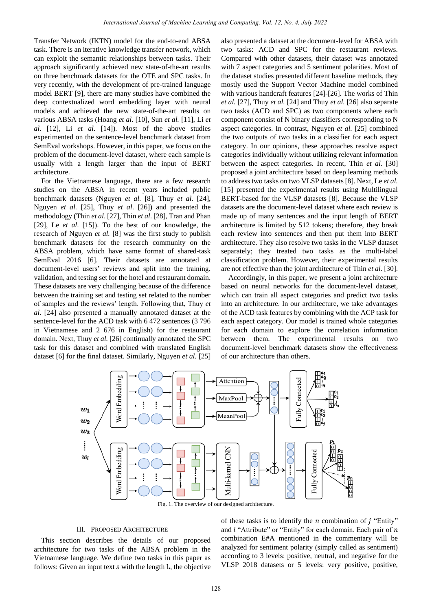Transfer Network (IKTN) model for the end-to-end ABSA task. There is an iterative knowledge transfer network, which can exploit the semantic relationships between tasks. Their approach significantly achieved new state-of-the-art results on three benchmark datasets for the OTE and SPC tasks. In very recently, with the development of pre-trained language model BERT [9], there are many studies have combined the deep contextualized word embedding layer with neural models and achieved the new state-of-the-art results on various ABSA tasks (Hoang *et al.* [10], Sun *et al.* [11], Li *et al.* [12], Li *et al.* [14]). Most of the above studies experimented on the sentence-level benchmark dataset from SemEval workshops. However, in this paper, we focus on the problem of the document-level dataset, where each sample is usually with a length larger than the input of BERT architecture.

For the Vietnamese language, there are a few research studies on the ABSA in recent years included public benchmark datasets (Nguyen *et al.* [8], Thuy *et al*. [24], Nguyen *et al.* [25], Thuy *et al*. [26]) and presented the methodology (Thin *et al*. [27], Thin *et al*. [28], Tran and Phan [29], Le *et al*. [15]). To the best of our knowledge, the research of Nguyen *et al.* [8] was the first study to publish benchmark datasets for the research community on the ABSA problem, which have same format of shared-task SemEval 2016 [6]. Their datasets are annotated at document-level users' reviews and split into the training, validation, and testing set for the hotel and restaurant domain. These datasets are very challenging because of the difference between the training set and testing set related to the number of samples and the reviews' length. Following that, Thuy *et al.* [24] also presented a manually annotated dataset at the sentence-level for the ACD task with 6 472 sentences (3 796 in Vietnamese and 2 676 in English) for the restaurant domain. Next, Thuy *et al.* [26] continually annotated the SPC task for this dataset and combined with translated English dataset [6] for the final dataset. Similarly, Nguyen *et al.* [25]

also presented a dataset at the document-level for ABSA with two tasks: ACD and SPC for the restaurant reviews. Compared with other datasets, their dataset was annotated with 7 aspect categories and 5 sentiment polarities. Most of the dataset studies presented different baseline methods, they mostly used the Support Vector Machine model combined with various handcraft features [24]-[26]. The works of Thin *et al.* [27], Thuy *et al.* [24] and Thuy *et al.* [26] also separate two tasks (ACD and SPC) as two components where each component consist of N binary classifiers corresponding to N aspect categories. In contrast, Nguyen *et al.* [25] combined the two outputs of two tasks in a classifier for each aspect category. In our opinions, these approaches resolve aspect categories individually without utilizing relevant information between the aspect categories. In recent, Thin *et al.* [30] proposed a joint architecture based on deep learning methods to address two tasks on two VLSP datasets [8]. Next, Le *et al.* [15] presented the experimental results using Multilingual BERT-based for the VLSP datasets [8]. Because the VLSP datasets are the document-level dataset where each review is made up of many sentences and the input length of BERT architecture is limited by 512 tokens; therefore, they break each review into sentences and then put them into BERT architecture. They also resolve two tasks in the VLSP dataset separately; they treated two tasks as the multi-label classification problem. However, their experimental results are not effective than the joint architecture of Thin *et al.* [30].

Accordingly, in this paper, we present a joint architecture based on neural networks for the document-level dataset, which can train all aspect categories and predict two tasks into an architecture. In our architecture, we take advantages of the ACD task features by combining with the ACP task for each aspect category. Our model is trained whole categories for each domain to explore the correlation information between them. The experimental results on two document-level benchmark datasets show the effectiveness of our architecture than others.



Fig. 1. The overview of our designed architecture.

## III. PROPOSED ARCHITECTURE

This section describes the details of our proposed architecture for two tasks of the ABSA problem in the Vietnamese language. We define two tasks in this paper as follows: Given an input text  $s$  with the length  $L$ , the objective

of these tasks is to identify the  $n$  combination of  $j$  "Entity" and  $i$  "Attribute" or "Entity" for each domain. Each pair of  $n$ combination E#A mentioned in the commentary will be analyzed for sentiment polarity (simply called as sentiment) according to 3 levels: positive, neutral, and negative for the VLSP 2018 datasets or 5 levels: very positive, positive,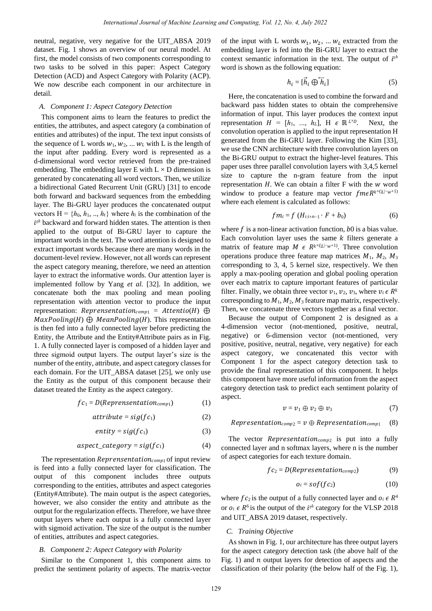neutral, negative, very negative for the UIT\_ABSA 2019 dataset. Fig. 1 shows an overview of our neural model. At first, the model consists of two components corresponding to two tasks to be solved in this paper: Aspect Category Detection (ACD) and Aspect Category with Polarity (ACP). We now describe each component in our architecture in detail.

## *A. Component 1: Aspect Category Detection*

This component aims to learn the features to predict the entities, the attributes, and aspect category (a combination of entities and attributes) of the input. The text input consists of the sequence of L words  $w_1, w_2, \ldots w_k$  with L is the length of the input after padding. Every word is represented as a d-dimensional word vector retrieved from the pre-trained embedding. The embedding layer E with  $L \times D$  dimension is generated by concatenating all word vectors. Then, we utilize a bidirectional Gated Recurrent Unit (GRU) [31] to encode both forward and backward sequences from the embedding layer. The Bi-GRU layer produces the concatenated output vectors  $H = \{h_0, h_1, ..., h_t\}$  where  $h_i$  is the combination of the  $i^{th}$  backward and forward hidden states. The attention is then applied to the output of Bi-GRU layer to capture the important words in the text. The word attention is designed to extract important words because there are many words in the document-level review. However, not all words can represent the aspect category meaning, therefore, we need an attention layer to extract the informative words. Our attention layer is implemented follow by Yang *et al.* [32]. In addition, we concatenate both the max pooling and mean pooling representation with attention vector to produce the input representation:  $Representation_{comp1} = Attentio(H) \oplus$  $MaxPooling(H) \bigoplus MeanPooling(H)$ . This representation is then fed into a fully connected layer before predicting the Entity, the Attribute and the Entity#Attribute pairs as in Fig. 1. A fully connected layer is composed of a hidden layer and three sigmoid output layers. The output layer's size is the number of the entity, attribute, and aspect category classes for each domain. For the UIT\_ABSA dataset [25], we only use the Entity as the output of this component because their dataset treated the Entity as the aspect category.

$$
fc_1 = D(\text{Representation}_{\text{comp1}}) \tag{1}
$$

$$
attribute = sig(fc_1) \tag{2}
$$

$$
entity = sig(fc_1) \tag{3}
$$

$$
aspect\_category = sig(fc_1)
$$
 (4)

The representation  $Reprensentation_{comp1}$  of input review is feed into a fully connected layer for classification. The output of this component includes three outputs corresponding to the entities, attributes and aspect categories (Entity#Attribute). The main output is the aspect categories, however, we also consider the entity and attribute as the output for the regularization effects. Therefore, we have three output layers where each output is a fully connected layer with sigmoid activation. The size of the output is the number of entities, attributes and aspect categories.

## *B. Component 2: Aspect Category with Polarity*

Similar to the Component 1, this component aims to predict the sentiment polarity of aspects. The matrix-vector

of the input with L words  $w_1, w_2, ... w_L$  extracted from the embedding layer is fed into the Bi-GRU layer to extract the context semantic information in the text. The output of  $i^{th}$ word is shown as the following equation:

$$
h_i = [\vec{h}_i \oplus \overleftarrow{h}_i] \tag{5}
$$

Here, the concatenation is used to combine the forward and backward pass hidden states to obtain the comprehensive information of input. This layer produces the context input representation  $H = [h_1, ..., h_L], H \in \mathbb{R}^{L \times D}$ . Next, the convolution operation is applied to the input representation H generated from the Bi-GRU layer. Following the Kim [33], we use the CNN architecture with three convolution layers on the Bi-GRU output to extract the higher-level features. This paper uses three parallel convolution layers with 3,4,5 kernel size to capture the n-gram feature from the input representation  $H$ . We can obtain a filter  $F$  with the  $w$  word window to produce a feature map vector  $f m \epsilon R^{k \times (|L| - w + 1)}$ where each element is calculated as follows:

$$
fm_i = f\left(H_{i:i+n-1}\cdot F + b_0\right) \tag{6}
$$

where  $f$  is a non-linear activation function,  $b0$  is a bias value. Each convolution layer uses the same  $k$  filters generate a matrix of feature map  $M \in R^{k \times (|L|-w+1)}$ . Three convolution operations produce three feature map matrices  $M_1$ ,  $M_2$ ,  $M_3$ corresponding to 3, 4, 5 kernel size, respectively. We then apply a max-pooling operation and global pooling operation over each matrix to capture important features of particular filter. Finally, we obtain three vector  $v_1$ ,  $v_2$ ,  $v_3$ , where  $v_i \in R^k$ corresponding to  $M_1$ ,  $M_2$ ,  $M_3$  feature map matrix, respectively. Then, we concatenate three vectors together as a final vector.

Because the output of Component 2 is designed as a 4-dimension vector (not-mentioned, positive, neutral, negative) or 6-dimension vector (not-mentioned, very positive, positive, neutral, negative, very negative) for each aspect category, we concatenated this vector with Component 1 for the aspect category detection task to provide the final representation of this component. It helps this component have more useful information from the aspect category detection task to predict each sentiment polarity of aspect.

$$
v = v_1 \oplus v_2 \oplus v_3 \tag{7}
$$

Representation<sub>comp2</sub> =  $v \oplus$  Representation<sub>comp1</sub> (8)

The vector *Representation*<sub>comp2</sub> is put into a fully connected layer and n softmax layers, where n is the number of aspect categories for each texture domain.

$$
fc_2 = D(\text{Representation}_{\text{comp2}}) \tag{9}
$$

$$
o_i = \text{softmax}(fc_2) \tag{10}
$$

where  $fc_2$  is the output of a fully connected layer and  $o_i \in R^4$ or  $o_i \in R^6$  is the output of the  $i^{th}$  category for the VLSP 2018 and UIT\_ABSA 2019 dataset, respectively.

## *C. Training Objective*

As shown in Fig. 1, our architecture has three output layers for the aspect category detection task (the above half of the Fig. 1) and  $n$  output layers for detection of aspects and the classification of their polarity (the below half of the Fig. 1),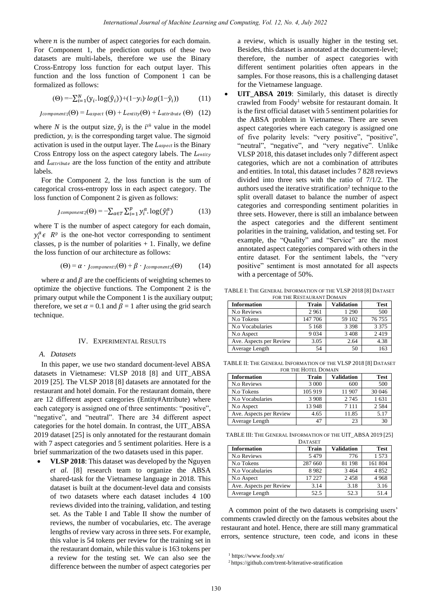where  $n$  is the number of aspect categories for each domain. For Component 1, the prediction outputs of these two datasets are multi-labels, therefore we use the Binary Cross-Entropy loss function for each output layer. This function and the loss function of Component 1 can be formalized as follows:

$$
(\Theta) = -\sum_{i=1}^{N} (y_i \cdot \log(\hat{y}_i)) + (1 - y_i) \log(1 - \hat{y}_i))
$$
 (11)

 $1_{\text{component}_1}(\Theta) = L_{\text{aspect}}(\Theta) + L_{\text{entity}}(\Theta) + L_{\text{attribute}}(\Theta)$  (12)

where *N* is the output size,  $\hat{y}_i$  is the *i*<sup>th</sup> value in the model prediction,  $y_i$  is the corresponding target value. The sigmoid activation is used in the output layer. The  $L_{aspect}$  is the Binary Cross Entropy loss on the aspect category labels. The Lentity and Lattribute are the loss function of the entity and attribute labels.

For the Component 2, the loss function is the sum of categorical cross-entropy loss in each aspect category. The loss function of Component 2 is given as follows:

$$
J_{component2}(\Theta) = -\sum_{a \in T} \sum_{i=1}^{p} y_i^a \cdot \log(\hat{y}_i^a)
$$
 (13)

where T is the number of aspect category for each domain,  $y_i^a \in R^p$  is the one-hot vector corresponding to sentiment classes,  $p$  is the number of polarities  $+ 1$ . Finally, we define the loss function of our architecture as follows:

$$
(\Theta) = \alpha \cdot_{Jcomponent1}(\Theta) + \beta \cdot_{Jcomponent2}(\Theta) \qquad (14)
$$

where  $\alpha$  and  $\beta$  are the coefficients of weighting schemes to optimize the objective functions. The Component 2 is the primary output while the Component 1 is the auxiliary output; therefore, we set  $\alpha = 0.1$  and  $\beta = 1$  after using the grid search technique.

## IV. EXPERIMENTAL RESULTS

## *A. Datasets*

In this paper, we use two standard document-level ABSA datasets in Vietnamese: VLSP 2018 [8] and UIT\_ABSA 2019 [25]. The VLSP 2018 [8] datasets are annotated for the restaurant and hotel domain. For the restaurant domain, there are 12 different aspect categories (Entity#Attribute) where each category is assigned one of three sentiments: "positive", "negative", and "neutral". There are 34 different aspect categories for the hotel domain. In contrast, the UIT\_ABSA 2019 dataset [25] is only annotated for the restaurant domain with 7 aspect categories and 5 sentiment polarities. Here is a brief summarization of the two datasets used in this paper.

 **VLSP 2018**: This dataset was developed by the Nguyen *et al*. [8] research team to organize the ABSA shared-task for the Vietnamese language in 2018. This dataset is built at the document-level data and consists of two datasets where each dataset includes 4 100 reviews divided into the training, validation, and testing set. As the Table I and Table II show the number of reviews, the number of vocabularies, etc. The average lengths of review vary across in three sets. For example, this value is 54 tokens per review for the training set in the restaurant domain, while this value is 163 tokens per a review for the testing set. We can also see the difference between the number of aspect categories per

a review, which is usually higher in the testing set. Besides, this dataset is annotated at the document-level; therefore, the number of aspect categories with different sentiment polarities often appears in the samples. For those reasons, this is a challenging dataset for the Vietnamese language.

UIT ABSA 2019: Similarly, this dataset is directly crawled from Foody<sup>1</sup> website for restaurant domain. It is the first official dataset with 5 sentiment polarities for the ABSA problem in Vietnamese. There are seven aspect categories where each category is assigned one of five polarity levels: "very positive", "positive", "neutral", "negative", and "very negative". Unlike VLSP 2018, this dataset includes only 7 different aspect categories, which are not a combination of attributes and entities. In total, this dataset includes 7 828 reviews divided into three sets with the ratio of 7/1/2. The authors used the iterative stratification<sup>2</sup> technique to the split overall dataset to balance the number of aspect categories and corresponding sentiment polarities in three sets. However, there is still an imbalance between the aspect categories and the different sentiment polarities in the training, validation, and testing set. For example, the "Quality" and "Service" are the most annotated aspect categories compared with others in the entire dataset. For the sentiment labels, the "very positive" sentiment is most annotated for all aspects with a percentage of 50%.

TABLE I: THE GENERAL INFORMATION OF THE VLSP 2018 [8] DATASET FOR THE RESTAURANT DOMAIN

| <b>Information</b>      | Train   | <b>Validation</b> | <b>Test</b> |
|-------------------------|---------|-------------------|-------------|
| N.o Reviews             | 2961    | 1 2 9 0           | 500         |
| N.o Tokens              | 147 706 | 59 102            | 76 755      |
| N.o Vocabularies        | 5 1 6 8 | 3 3 9 8           | 3 3 7 5     |
| N.o Aspect              | 9 0 3 4 | 3 4 0 8           | 2419        |
| Ave. Aspects per Review | 3.05    | 2.64              | 4.38        |
| Average Length          | 54      | 50                | 163         |

TABLE II: THE GENERAL INFORMATION OF THE VLSP 2018 [8] DATASET FOR THE HOTEL DOMAIN

| <b>Information</b>      | Train   | <b>Validation</b> | <b>Test</b> |
|-------------------------|---------|-------------------|-------------|
| N.o Reviews             | 3 0 0 0 | 600               | 500         |
| N.o Tokens              | 105 919 | 11 907            | 30 046      |
| N.o Vocabularies        | 3 9 0 8 | 2 7 4 5           | 1631        |
| N.o Aspect              | 13 948  | 7 1 1 1           | 2 5 8 4     |
| Ave. Aspects per Review | 4.65    | 11.85             | 5.17        |
| Average Length          |         | 23                | 30          |

TABLE III: THE GENERAL INFORMATION OF THE UIT\_ABSA 2019 [25]

| <b>DATASET</b>          |              |                   |             |  |
|-------------------------|--------------|-------------------|-------------|--|
| <b>Information</b>      | <b>Train</b> | <b>Validation</b> | <b>Test</b> |  |
| N.o Reviews             | 5479         | 776               | 1573        |  |
| N.o Tokens              | 287 660      | 81 198            | 161 804     |  |
| N.o Vocabularies        | 8982         | 3 4 6 4           | 4852        |  |
| N.o Aspect              | 17 227       | 2458              | 4968        |  |
| Ave. Aspects per Review | 3.14         | 3.18              | 3.16        |  |
| Average Length          | 52.5         | 52.3              | 51.4        |  |

A common point of the two datasets is comprising users' comments crawled directly on the famous websites about the restaurant and hotel. Hence, there are still many grammatical errors, sentence structure, teen code, and icons in these

<sup>1</sup> <https://www.foody.vn/>

<sup>2</sup> <https://github.com/trent-b/iterative-stratification>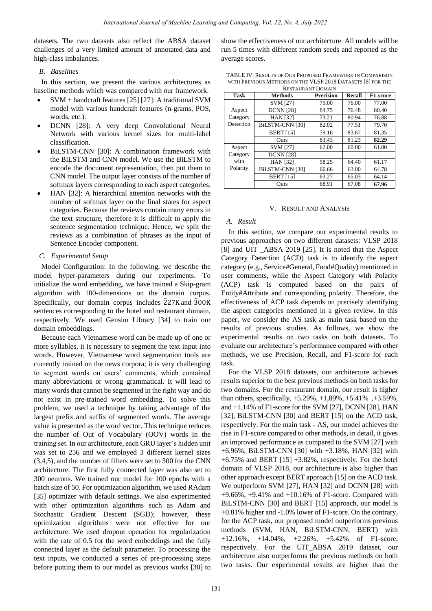datasets. The two datasets also reflect the ABSA dataset challenges of a very limited amount of annotated data and high-class imbalances.

## *B. Baselines*

In this section, we present the various architectures as baseline methods which was compared with our framework.

- SVM + handcraft features [25] [27]: A traditional SVM model with various handcraft features (n-grams, POS, words, etc.).
- DCNN [28]: A very deep Convolutional Neural Network with various kernel sizes for multi-label classification.
- BiLSTM-CNN [30]: A combination framework with the BiLSTM and CNN model. We use the BiLSTM to encode the document representation, then put them to CNN model. The output layer consists of the number of softmax layers corresponding to each aspect categories.
- HAN [32]: A hierarchical attention networks with the number of softmax layer on the final states for aspect categories. Because the reviews contain many errors in the text structure, therefore it is difficult to apply the sentence segmentation technique. Hence, we split the reviews as a combination of phrases as the input of Sentence Encoder component.

## *C. Experimental Setup*

Model Configuration: In the following, we describe the model hyper-parameters during our experiments. To initialize the word embedding, we have trained a Skip-gram algorithm with 100-dimensions on the domain corpus. Specifically, our domain corpus includes 227K and 300K sentences corresponding to the hotel and restaurant domain, respectively. We used Gensim Library [34] to train our domain embeddings.

Because each Vietnamese word can be made up of one or more syllables, it is necessary to segment the text input into words. However, Vietnamese word segmentation tools are currently trained on the news corpora; it is very challenging to segment words on users' comments, which contained many abbreviations or wrong grammatical. It will lead to many words that cannot be segmented in the right way and do not exist in pre-trained word embedding. To solve this problem, we used a technique by taking advantage of the largest prefix and suffix of segmented words. The average value is presented as the word vector. This technique reduces the number of Out of Vocabulary (OOV) words in the training set. In our architecture, each GRU layer's hidden unit was set to 256 and we employed 3 different kernel sizes (3,4,5), and the number of filters were set to 300 for the CNN architecture. The first fully connected layer was also set to 300 neurons. We trained our model for 100 epochs with a batch size of 50. For optimization algorithm, we used RAdam [35] optimizer with default settings. We also experimented with other optimization algorithms such as Adam and Stochastic Gradient Descent (SGD); however, these optimization algorithms were not effective for our architecture. We used dropout operation for regularization with the rate of 0.5 for the word embeddings and the fully connected layer as the default parameter. To processing the text inputs, we conducted a series of pre-processing steps before putting them to our model as previous works [30] to

show the effectiveness of our architecture. All models will be run 5 times with different random seeds and reported as the average scores.

| TABLE IV: RESULTS OF OUR PROPOSED FRAMEWORK IN COMPARISON   |
|-------------------------------------------------------------|
| WITH PREVIOUS METHODS ON THE VLSP 2018 DATASETS [8] FOR THE |
| $D$ month sympathy $D$ on $A$ sympathy                      |

| <b>RESTAURANT DOMAIN</b> |                        |                  |        |                 |
|--------------------------|------------------------|------------------|--------|-----------------|
| <b>Task</b>              | <b>Methods</b>         | <b>Precision</b> | Recall | <b>F1-score</b> |
|                          | <b>SVM [27]</b>        | 79.00            | 76.00  | 77.00           |
| Aspect                   | <b>DCNN</b> [28]       | 84.75            | 76.48  | 80.40           |
| Category                 | <b>HAN [32]</b>        | 73.21            | 80.94  | 76.88           |
| Detection                | <b>BiLSTM-CNN [30]</b> | 82.02            | 77.51  | 79.70           |
|                          | <b>BERT</b> [15]       | 79.16            | 83.67  | 81.35           |
|                          | Ours                   | 83.43            | 81.23  | 82.29           |
| Aspect                   | <b>SVM [27]</b>        | 62.00            | 60.00  | 61.00           |
| Category                 | <b>DCNN</b> [28]       |                  |        |                 |
| with                     | <b>HAN</b> [32]        | 58.25            | 64.40  | 61.17           |
| Polarity                 | BiLSTM-CNN [30]        | 66.66            | 63.00  | 64.78           |
|                          | <b>BERT</b> [15]       | 63.27            | 65.03  | 64.14           |
|                          | Ours                   | 68.91            | 67.08  | 67.96           |

## V. RESULT AND ANALYSIS

#### *A. Result*

In this section, we compare our experimental results to previous approaches on two different datasets: VLSP 2018 [8] and UIT \_ABSA 2019 [25]. It is noted that the Aspect Category Detection (ACD) task is to identify the aspect category (e.g., Service#General, Food#Quality) mentioned in user comments, while the Aspect Category with Polarity (ACP) task is computed based on the pairs of Entity#Attribute and corresponding polarity. Therefore, the effectiveness of ACP task depends on precisely identifying the aspect categories mentioned in a given review. In this paper, we consider the AS task as main task based on the results of previous studies. As follows, we show the experimental results on two tasks on both datasets. To evaluate our architecture's performance compared with other methods, we use Precision, Recall, and F1-score for each task.

For the VLSP 2018 datasets, our architecture achieves results superior to the best previous methods on both tasks for two domains. For the restaurant domain, our result is higher than others, specifically, +5.29%, +1,89%, +5.41% ,+3.59%, and +1.14% of F1-score for the SVM [27], DCNN [28], HAN [32], BiLSTM-CNN [30] and BERT [15] on the ACD task, respectively. For the main task - AS, our model achieves the rise in F1-score compared to other methods, in detail, it gives an improved performance as compared to the SVM [27] with +6.96%, BiLSTM-CNN [30] with +3.18%, HAN [32] with  $+6.75\%$  and BERT [15]  $+3.82\%$ , respectively. For the hotel domain of VLSP 2018, our architecture is also higher than other approach except BERT approach [15] on the ACD task. We outperform SVM [27], HAN [32] and DCNN [28] with +9.66%, +9.41% and +10.16% of F1-score. Compared with BiLSTM-CNN [30] and BERT [15] approach, our model is +0.81% higher and -1.0% lower of F1-score. On the contrary, for the ACP task, our proposed model outperforms previous methods (SVM, HAN, BiLSTM-CNN, BERT) with +12.16%, +14.04%, +2.26%, +5.42% of F1-score, respectively. For the UIT\_ABSA 2019 dataset, our architecture also outperforms the previous methods on both two tasks. Our experimental results are higher than the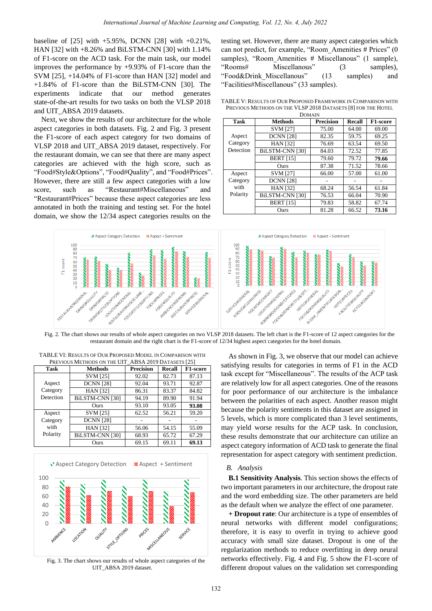baseline of [25] with +5.95%, DCNN [28] with +0.21%, HAN [32] with +8.26% and BiLSTM-CNN [30] with 1.14% of F1-score on the ACD task. For the main task, our model improves the performance by +9.93% of F1-score than the SVM [25], +14.04% of F1-score than HAN [32] model and +1.84% of F1-score than the BiLSTM-CNN [30]. The experiments indicate that our method generates state-of-the-art results for two tasks on both the VLSP 2018 and UIT\_ABSA 2019 datasets.

Next, we show the results of our architecture for the whole aspect categories in both datasets. Fig. 2 and Fig. 3 present the F1-score of each aspect category for two domains of VLSP 2018 and UIT\_ABSA 2019 dataset, respectively. For the restaurant domain, we can see that there are many aspect categories are achieved with the high score, such as "Food#Style&Options", "Food#Quality", and "Food#Prices". However, there are still a few aspect categories with a low score, such as "Restaurant#Miscellaneous" and "Restaurant#Prices" because these aspect categories are less annotated in both the training and testing set. For the hotel domain, we show the 12/34 aspect categories results on the

testing set. However, there are many aspect categories which can not predict, for example, "Room\_Amenities # Prices" (0 samples), "Room Amenities # Miscellanous" (1 sample), "Rooms# Miscellanous" (3 samples), "Food&Drink\_Miscellanous" (13 samples) and "Facilities#Miscellanous" (33 samples).

| <b>DOMAIN</b> |                        |           |        |                 |
|---------------|------------------------|-----------|--------|-----------------|
| <b>Task</b>   | <b>Methods</b>         | Precision | Recall | <b>F1-score</b> |
|               | <b>SVM [27]</b>        | 75.00     | 64.00  | 69.00           |
| Aspect        | <b>DCNN</b> [28]       | 82.35     | 59.75  | 69.25           |
| Category      | <b>HAN [32]</b>        | 76.69     | 63.54  | 69.50           |
| Detection     | <b>BILSTM-CNN [30]</b> | 84.03     | 72.52  | 77.85           |
|               | <b>BERT</b> [15]       | 79.60     | 79.72  | 79.66           |
|               | Ours                   | 87.38     | 71.52  | 78.66           |
| Aspect        | <b>SVM [27]</b>        | 66.00     | 57.00  | 61.00           |
| Category      | <b>DCNN</b> [28]       |           |        |                 |
| with          | <b>HAN [32]</b>        | 68.24     | 56.54  | 61.84           |
| Polarity      | BiLSTM-CNN [30]        | 76.53     | 66.04  | 70.90           |
|               | <b>BERT</b> [15]       | 79.83     | 58.82  | 67.74           |
|               | Ours                   | 81.28     | 66.52  | 73.16           |

TABLE V: RESULTS OF OUR PROPOSED FRAMEWORK IN COMPARISON WITH PREVIOUS METHODS ON THE VLSP 2018 DATASETS [8] FOR THE HOTEL



Fig. 2. The chart shows our results of whole aspect categories on two VLSP 2018 datasets. The left chart is the F1-score of 12 aspect categories for the restaurant domain and the right chart is the F1-score of 12/34 highest aspect categories for the hotel domain.

| PREVIOUS METHODS ON THE UIT_ABSA 2019 DATASETS [25] |                  |                  |        |          |
|-----------------------------------------------------|------------------|------------------|--------|----------|
| <b>Task</b>                                         | <b>Methods</b>   | <b>Precision</b> | Recall | F1-score |
|                                                     | <b>SVM [25]</b>  | 92.02            | 82.73  | 87.13    |
| Aspect                                              | <b>DCNN</b> [28] | 92.04            | 93.71  | 92.87    |
| Category                                            | <b>HAN [32]</b>  | 86.31            | 83.37  | 84.82    |
| Detection                                           | BiLSTM-CNN [30]  | 94.19            | 89.90  | 91.94    |
|                                                     | Ours             | 93.10            | 93.05  | 93.08    |
| Aspect                                              | <b>SVM [25]</b>  | 62.52            | 56.21  | 59.20    |
| Category                                            | <b>DCNN</b> [28] |                  |        |          |
| with                                                | <b>HAN [32]</b>  | 56.06            | 54.15  | 55.09    |
| Polarity                                            | BiLSTM-CNN [30]  | 68.93            | 65.72  | 67.29    |
|                                                     | Ours             | 69.15            | 69.11  | 69.13    |

TABLE VI: RESULTS OF OUR PROPOSED MODEL IN COMPARISON WITH



Fig. 3. The chart shows our results of whole aspect categories of the UIT\_ABSA 2019 dataset.

As shown in Fig. 3, we observe that our model can achieve satisfying results for categories in terms of F1 in the ACD task except for "Miscellaneous". The results of the ACP task are relatively low for all aspect categories. One of the reasons for poor performance of our architecture is the imbalance between the polarities of each aspect. Another reason might because the polarity sentiments in this dataset are assigned in 5 levels, which is more complicated than 3 level sentiments, may yield worse results for the ACP task. In conclusion, these results demonstrate that our architecture can utilize an aspect category information of ACD task to generate the final representation for aspect category with sentiment prediction.

## *B. Analysis*

**B.1 Sensitivity Analysis**. This section shows the effects of two important parameters in our architecture, the dropout rate and the word embedding size. The other parameters are held as the default when we analyze the effect of one parameter.

**+ Dropout rate**: Our architecture is a type of ensembles of neural networks with different model configurations; therefore, it is easy to overfit in trying to achieve good accuracy with small size dataset. Dropout is one of the regularization methods to reduce overfitting in deep neural networks effectively. Fig. 4 and Fig. 5 show the F1-score of different dropout values on the validation set corresponding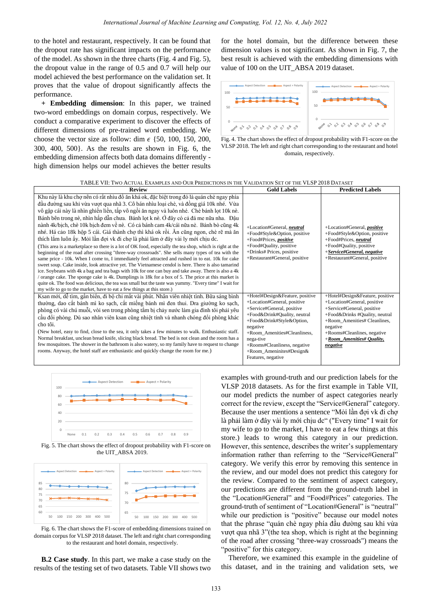to the hotel and restaurant, respectively. It can be found that the dropout rate has significant impacts on the performance of the model. As shown in the three charts (Fig. 4 and Fig. 5), the dropout value in the range of 0.5 and 0.7 will help our model achieved the best performance on the validation set. It proves that the value of dropout significantly affects the performance.

**+ Embedding dimension**: In this paper, we trained two-word embeddings on domain corpus, respectively. We conduct a comparative experiment to discover the effects of different dimensions of pre-trained word embedding. We choose the vector size as follow: dim  $\epsilon$  {50, 100, 150, 200, 300, 400, 500}. As the results are shown in Fig. 6, the embedding dimension affects both data domains differently high dimension helps our model achieves the better results for the hotel domain, but the difference between these dimension values is not significant. As shown in Fig. 7, the best result is achieved with the embedding dimensions with value of 100 on the UIT\_ABSA 2019 dataset.



Fig. 4. The chart shows the effect of dropout probability with F1-score on the VLSP 2018. The left and right chart corresponding to the restaurant and hotel domain, respectively.

| TABLE VII: TWO ACTUAL EXAMPLES AND OUR PREDICTIONS IN THE VALIDATION SET OF THE VLSP 2018 DATASET |  |
|---------------------------------------------------------------------------------------------------|--|
|---------------------------------------------------------------------------------------------------|--|

| <b>Review</b>                                                                                                                                                                                                                                                                                                                                                                                                                                                                                                                                                                                                                                                                                                                                                                                                                                                                                                                                                                                                                                                                                                                                                                                                                                                                                                                                                                                                                                          | <b>Gold Labels</b>                                                                                                                                                                                                                                                                                      | <b>Predicted Labels</b>                                                                                                                                                                                                                                      |
|--------------------------------------------------------------------------------------------------------------------------------------------------------------------------------------------------------------------------------------------------------------------------------------------------------------------------------------------------------------------------------------------------------------------------------------------------------------------------------------------------------------------------------------------------------------------------------------------------------------------------------------------------------------------------------------------------------------------------------------------------------------------------------------------------------------------------------------------------------------------------------------------------------------------------------------------------------------------------------------------------------------------------------------------------------------------------------------------------------------------------------------------------------------------------------------------------------------------------------------------------------------------------------------------------------------------------------------------------------------------------------------------------------------------------------------------------------|---------------------------------------------------------------------------------------------------------------------------------------------------------------------------------------------------------------------------------------------------------------------------------------------------------|--------------------------------------------------------------------------------------------------------------------------------------------------------------------------------------------------------------------------------------------------------------|
| Khu này là khu chợ nên có rất nhìu đồ ăn khá ok, đặc biệt trong đó là quán chè ngay phía<br>đầu đường sau khi vừa vượt qua nh ã3. Côb án nh ù loại chè, và đồng gi á 10k nh é Vừa<br>vôgập cá này lành n ghiền liền, tấp vôngồi ăn ngay và luôn nhé. Chè bánh lọt 10k nè<br>Bánh bên trong nè, nh ìn hấp dẫn chưa. Bánh lọt k nè. Ở đây có cả đá me nữa nha. Đậu<br>n ành 4k/bịch, chè 10k bịch đem về nè. Có cả bánh cam 4k/c á nữa nè. Bánh bò cũng 4k<br>nh é Hácảo 18k hộp 5 cá. Giáth ành chợ thì kháo krồi. Ăn cũng ngon, chè rẽ mà ăn<br>th ch lắm luôn ấy. Mỏi lần đợi vk đi chợ làphải làm ở đây vài ly mới chịu dc.<br>(This area is a marketplace so there is a lot of OK food, especially the tea shop, which is right at the<br>beginning of the road after crossing "three-way crossroads". She sells many types of tea with the<br>same price - 10k. When I come to, I immediately feel attracted and rushed in to eat. 10k for cake<br>sweet soup. Cake inside, look attractive yet. The Vietnamese cendol is here. There is also tamarind<br>ice. Soybeans with 4k a bag and tea bags with 10k for one can buy and take away. There is also a 4k<br>orange cake. The sponge cake is 4k. Dumplings is 18k for a box of 5. The price at this market is<br>quite ok. The food was delicious, the tea was small but the taste was yummy. "Every time" I wait for<br>my wife to go to the market, have to eat a few things at this store.) | +Location#General, neutral<br>+Food#Style&Option, positive<br>+Food#Prices, <i>positive</i><br>+Food#Quality, positive<br>+Drinks# Prices, positive<br>+Restaurant#General, positive                                                                                                                    | +Location#General, <i>positive</i><br>+Food#Style&Option, positive<br>+Food#Prices, neutral<br>+Food#Quality, positive<br>+Service#General, negative<br>+Restaurant#General, positive                                                                        |
| Ksan mới, dễ t m, gần biển, đi bộ chỉ mất v à phút. Nh ân viên nhiệt t nh. Bữa sáng b nh<br>thường, dao cắt bánh mì ko sạch, cắt miếng bánh mì đen thui. Dra giường ko sạch,<br>phòng có và chú muỗi, vòi sen trong phòng tắm bị chảy nước làm gia đình tôi phải yêu<br>cầu đổi phòng. Dù sao nhân viên ksan cũng nhiệt tình và nhanh chóng đổi phòng khác<br>cho tối.<br>(New hotel, easy to find, close to the sea, it only takes a few minutes to walk. Enthusiastic staff.<br>Normal breakfast, unclean bread knife, slicing black bread. The bed is not clean and the room has a<br>few mosquitoes. The shower in the bathroom is also watery, so my family have to request to change<br>rooms. Anyway, the hotel staff are enthusiastic and quickly change the room for me.)                                                                                                                                                                                                                                                                                                                                                                                                                                                                                                                                                                                                                                                                     | +Hotel#Design&Feature, positive<br>+Location#General, positive<br>+Service#General, positive<br>+Food&Drink#Quality, neutral<br>+Food&Drink#Style&Option,<br>negative<br>+Room Amenities#Cleanliness.<br>nega-tive<br>+Rooms#Cleanliness, negative<br>$+$ Room Ameninites#Design&<br>Features, negative | +Hotel#Design&Feature, positive<br>+Location#General, positive<br>+Service#General, positive<br>+Food&Drinks #Quality, neutral<br>+Room Amenities# Cleanlines,<br>negative<br>+Rooms#Cleanlines, negative<br>$+$ <i>Room Amenities# Ouality,</i><br>negative |



Fig. 5. The chart shows the effect of dropout probability with F1-score on the UIT\_ABSA 2019.



Fig. 6. The chart shows the F1-score of embedding dimensions trained on domain corpus for VLSP 2018 dataset. The left and right chart corresponding to the restaurant and hotel domain, respectively.

**B.2 Case study**. In this part, we make a case study on the results of the testing set of two datasets. Table VII shows two examples with ground-truth and our prediction labels for the VLSP 2018 datasets. As for the first example in Table VII, our model predicts the number of aspect categories nearly correct for the review, except the "Service#General" category. Because the user mentions a sentence "Mỏi lần đợi vk đi chợ là phải làm ở đây vài ly mới chịu dc" ("Every time" I wait for my wife to go to the market, I have to eat a few things at this store.) leads to wrong this category in our prediction. However, this sentence, describes the writer's supplementary information rather than referring to the "Service#General" category. We verify this error by removing this sentence in the review, and our model does not predict this category for the review. Compared to the sentiment of aspect category, our predictions are different from the ground-truth label in the "Location#General" and "Food#Prices" categories. The ground-truth of sentiment of "Location#General" is "neutral" while our prediction is "positive" because our model notes that the phrase "quán chè ngay phía đầu đường sau khi vừa vượt qua nhã 3"(the tea shop, which is right at the beginning of the road after crossing "three-way crossroads") means the "positive" for this category.

Therefore, we examined this example in the guideline of this dataset, and in the training and validation sets, we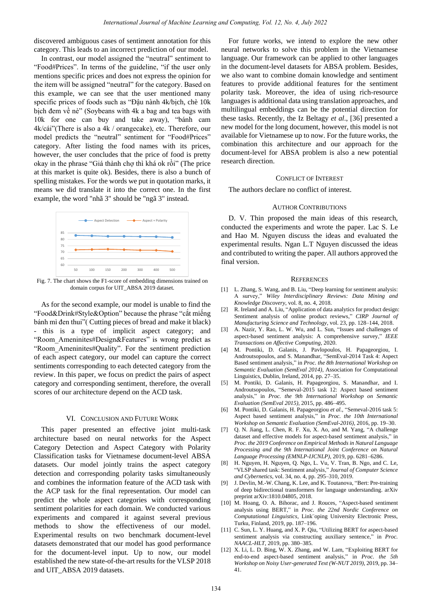discovered ambiguous cases of sentiment annotation for this category. This leads to an incorrect prediction of our model.

In contrast, our model assigned the "neutral" sentiment to "Food#Prices". In terms of the guideline, "if the user only mentions specific prices and does not express the opinion for the item will be assigned "neutral" for the category. Based on this example, we can see that the user mentioned many specific prices of foods such as "Đậu nành 4k/bịch, chè 10k bịch đem về nè" (Soybeans with 4k a bag and tea bags with 10k for one can buy and take away), "bánh cam 4k/cái"(There is also a 4k / orangecake), etc. Therefore, our model predicts the "neutral" sentiment for "Food#Prices" category. After listing the food names with its prices, however, the user concludes that the price of food is pretty okay in the phrase "Giá thành chợ thì khá ok rồi" (The price at this market is quite ok). Besides, there is also a bunch of spelling mistakes. For the words we put in quotation marks, it means we did translate it into the correct one. In the first example, the word "nhã 3" should be "ngã 3" instead.



Fig. 7. The chart shows the F1-score of embedding dimensions trained on domain corpus for UIT\_ABSA 2019 dataset.

As for the second example, our model is unable to find the "Food&Drink#Style&Option" because the phrase "cắt miếng bánh mì đen thui"( Cutting pieces of bread and make it black) - this is a type of implicit aspect category; and "Room\_Ameninites#Design&Features" is wrong predict as "Room\_Ameninites#Quality". For the sentiment prediction of each aspect category, our model can capture the correct sentiments corresponding to each detected category from the review. In this paper, we focus on predict the pairs of aspect category and corresponding sentiment, therefore, the overall scores of our architecture depend on the ACD task.

## VI. CONCLUSION AND FUTURE WORK

This paper presented an effective joint multi-task architecture based on neural networks for the Aspect Category Detection and Aspect Category with Polarity Classification tasks for Vietnamese document-level ABSA datasets. Our model jointly trains the aspect category detection and corresponding polarity tasks simultaneously and combines the information feature of the ACD task with the ACP task for the final representation. Our model can predict the whole aspect categories with corresponding sentiment polarities for each domain. We conducted various experiments and compared it against several previous methods to show the effectiveness of our model. Experimental results on two benchmark document-level datasets demonstrated that our model has good performance for the document-level input. Up to now, our model established the new state-of-the-art results for the VLSP 2018 and UIT\_ABSA 2019 datasets.

For future works, we intend to explore the new other neural networks to solve this problem in the Vietnamese language. Our framework can be applied to other languages in the document-level datasets for ABSA problem. Besides, we also want to combine domain knowledge and sentiment features to provide additional features for the sentiment polarity task. Moreover, the idea of using rich-resource languages is additional data using translation approaches, and multilingual embeddings can be the potential direction for these tasks. Recently, the Iz Beltagy *et al*., [36] presented a new model for the long document, however, this model is not available for Vietnamese up to now. For the future works, the combination this architecture and our approach for the document-level for ABSA problem is also a new potential research direction.

## CONFLICT OF INTEREST

The authors declare no conflict of interest.

#### AUTHOR CONTRIBUTIONS

D. V. Thin proposed the main ideas of this research, conducted the experiments and wrote the paper. Lac S. Le and Hao M. Nguyen discuss the ideas and evaluated the experimental results. Ngan L.T Nguyen discussed the ideas and contributed to writing the paper. All authors approved the final version.

#### **REFERENCES**

- [1] L. Zhang, S. Wang, and B. Liu, "Deep learning for sentiment analysis: A survey," *Wiley Interdisciplinary Reviews: Data Mining and Knowledge Discovery*, vol. 8, no. 4, 2018.
- [2] R. Ireland and A. Liu, "Application of data analytics for product design: Sentiment analysis of online product reviews," *CIRP Journal of Manufacturing Science and Technology*, vol. 23, pp. 128–144, 2018.
- [3] A. Nazir, Y. Rao, L. W. Wu, and L. Sun, "Issues and challenges of aspect-based sentiment analysis: A comprehensive survey," *IEEE Transactions on Affective Computing*, 2020.
- [4] M. Pontiki, D. Galanis, J. Pavlopoulos, H. Papageorgiou, I. Androutsopoulos, and S. Manandhar, "SemEval-2014 Task 4: Aspect Based sentiment analysis," in *Proc. the 8th International Workshop on Semantic Evaluation (SemEval 2014)*, Association for Computational Linguistics, Dublin, Ireland, 2014, pp. 27–35.
- [5] M. Pontiki, D. Galanis, H. Papageorgiou, S. Manandhar, and I. Androutsopoulos, "Semeval-2015 task 12: Aspect based sentiment analysis," in *Proc. the 9th International Workshop on Semantic Evaluation (SemEval 2015)*, 2015, pp. 486–495.
- [6] M. Pontiki, D. Galanis, H. Papageorgiou *et al.*, "Semeval-2016 task 5: Aspect based sentiment analysis," in *Proc. the 10th International Workshop on Semantic Evaluation (SemEval-2016)*, 2016, pp. 19–30.
- [7] Q. N. Jiang, L. Chen, R. F. Xu, X. Ao, and M. Yang, "A challenge dataset and effective models for aspect-based sentiment analysis," in *Proc. the 2019 Conference on Empirical Methods in Natural Language Processing and the 9th International Joint Conference on Natural Language Processing (EMNLP-IJCNLP)*, 2019, pp. 6281–6286.
- [8] H. Nguyen, H. Nguyen, Q. Ngo, L. Vu, V. Tran, B. Ngo, and C. Le, "VLSP shared task: Sentiment analysis," *Journal of Computer Science and Cybernetics*, vol. 34, no. 4, pp. 295–310, 2019.
- [9] J. Devlin, M.-W. Chang, K. Lee, and K. Toutanova, "Bert: Pre-training of deep bidirectional transformers for language understanding. arXiv preprint arXiv:1810.04805, 2018.
- [10] M. Hoang, O. A. Bihorac, and J. Rouces, "Aspect-based sentiment analysis using BERT," in *Proc. the 22nd Nordic Conference on Computational Linguistics*, Link¨oping University Electronic Press, Turku, Finland, 2019, pp. 187–196.
- [11] C. Sun, L. Y. Huang, and X. P. Qiu, "Utilizing BERT for aspect-based sentiment analysis via constructing auxiliary sentence," in *Proc. NAACL-HLT*, 2019, pp. 380–385.
- [12] X. Li, L. D. Bing, W. X. Zhang, and W. Lam, "Exploiting BERT for end-to-end aspect-based sentiment analysis," in *Proc. the 5th Workshop on Noisy User-generated Text (W-NUT 2019)*, 2019, pp. 34– 41.